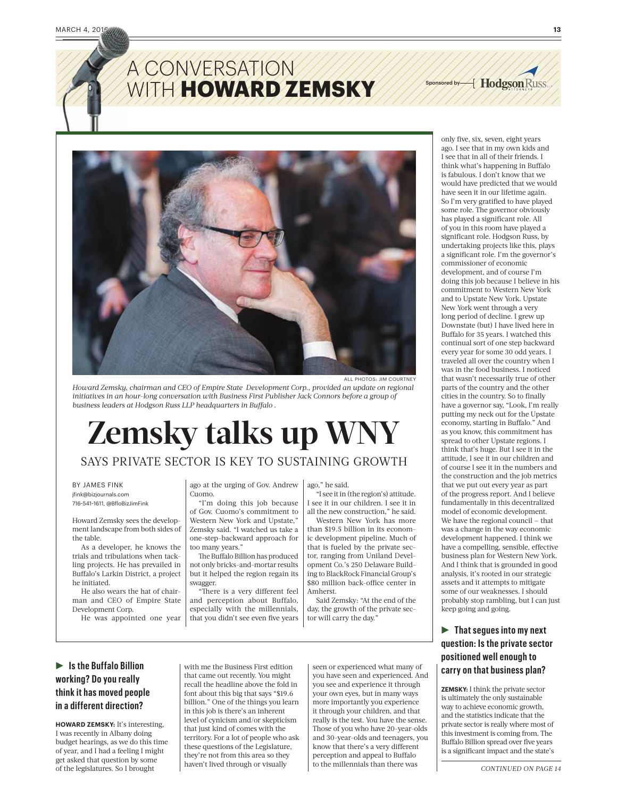## A CONVERSATION A **WITH HOWARD ZEMSKY**



ALL PHOTOS: JIM COURTNEY

*Howard Zemsky, chairman and CEO of Empire State Development Corp., provided an update on regional initiatives in an hour-long conversation with Business First Publisher Jack Connors before a group of business leaders at Hodgson Russ LLP headquarters in Buffalo .*

# **Zemsky talks up WNY**

## SAYS PRIVATE SECTOR IS KEY TO SUSTAINING GROWTH

#### BY JAMES FINK jfink@bizjournals.com

716-541-1611, @BfloBizJimFink

Howard Zemsky sees the development landscape from both sides of the table.

As a developer, he knows the trials and tribulations when tackling projects. He has prevailed in Buffalo's Larkin District, a project he initiated.

He also wears the hat of chairman and CEO of Empire State Development Corp.

He was appointed one year

ago at the urging of Gov. Andrew Cuomo.

"I'm doing this job because of Gov. Cuomo's commitment to Western New York and Upstate," Zemsky said. "I watched us take a one-step-backward approach for too many years.'

The Buffalo Billion has produced not only bricks-and-mortar results but it helped the region regain its swagger.

'There is a very different feel and perception about Buffalo, especially with the millennials, that you didn't see even five years ago," he said.

"I see it in (the region's) attitude. I see it in our children. I see it in all the new construction," he said. Western New York has more

than \$19.5 billion in its economic development pipeline. Much of that is fueled by the private sector, ranging from Uniland Development Co.'s 250 Delaware Building to BlackRock Financial Group's \$80 million back-office center in Amherst.

Said Zemsky: "At the end of the day, the growth of the private sector will carry the day."

## $\blacktriangleright$  Is the Buffalo Billion **working? Do you really think it has moved people in a different direction?**

**HOWARD ZEMSKY:** It's interesting, I was recently in Albany doing budget hearings, as we do this time of year, and I had a feeling I might get asked that question by some of the legislatures. So I brought

with me the Business First edition that came out recently. You might recall the headline above the fold in font about this big that says "\$19.6 billion." One of the things you learn in this job is there's an inherent level of cynicism and/or skepticism that just kind of comes with the territory. For a lot of people who ask these questions of the Legislature, they're not from this area so they haven't lived through or visually

seen or experienced what many of you have seen and experienced. And you see and experience it through your own eyes, but in many ways more importantly you experience it through your children, and that really is the test. You have the sense. Those of you who have 20-year-olds and 30-year-olds and teenagers, you know that there's a very different perception and appeal to Buffalo to the millennials than there was

only five, six, seven, eight years ago. I see that in my own kids and I see that in all of their friends. I think what's happening in Buffalo is fabulous. I don't know that we would have predicted that we would have seen it in our lifetime again. So I'm very gratified to have played some role. The governor obviously has played a significant role. All of you in this room have played a significant role. Hodgson Russ, by undertaking projects like this, plays a significant role. I'm the governor's commissioner of economic development, and of course I'm doing this job because I believe in his commitment to Western New York and to Upstate New York. Upstate New York went through a very long period of decline. I grew up Downstate (but) I have lived here in Buffalo for 35 years. I watched this continual sort of one step backward every year for some 30 odd years. I traveled all over the country when I was in the food business. I noticed that wasn't necessarily true of other parts of the country and the other cities in the country. So to finally have a governor say, "Look, I'm really putting my neck out for the Upstate economy, starting in Buffalo." And as you know, this commitment has spread to other Upstate regions. I think that's huge. But I see it in the attitude, I see it in our children and of course I see it in the numbers and the construction and the job metrics that we put out every year as part of the progress report. And I believe fundamentally in this decentralized model of economic development. We have the regional council — that was a change in the way economic development happened. I think we have a compelling, sensible, effective business plan for Western New York. And I think that is grounded in good analysis, it's rooted in our strategic assets and it attempts to mitigate some of our weaknesses. I should probably stop rambling, but I can just keep going and going.

Sponsored by  $\cancel{\#}$  Hodgson Russ

## **Figures** into my next **question: Is the private sector positioned well enough to carry on that business plan?**

**ZEMSKY:** I think the private sector is ultimately the only sustainable way to achieve economic growth, and the statistics indicate that the private sector is really where most of this investment is coming from. The Buffalo Billion spread over five years is a significant impact and the state's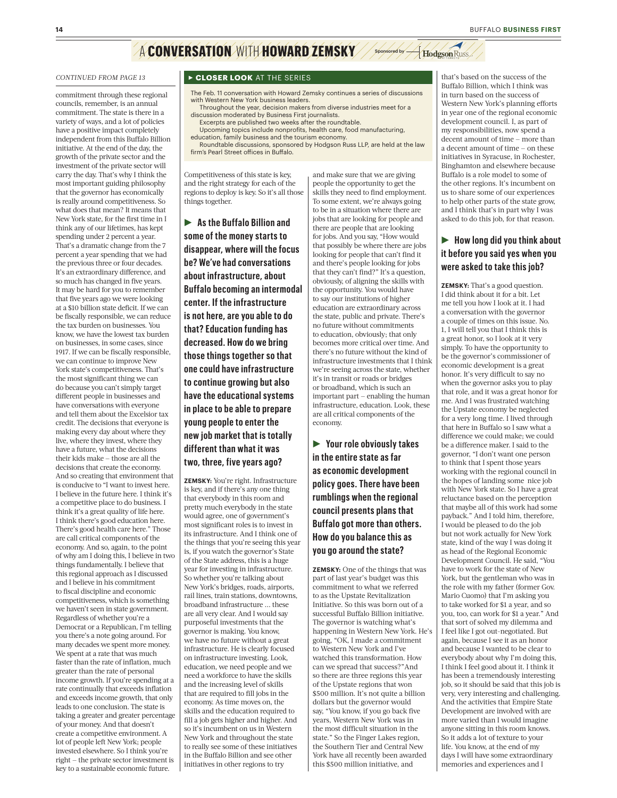## A **CONVERSATION** WITH **HOWARD ZEMSKY** Sponsored by **A** Hodgson Russ

commitment through these regional councils, remember, is an annual commitment. The state is there in a variety of ways, and a lot of policies have a positive impact completely independent from this Buffalo Billion initiative. At the end of the day, the growth of the private sector and the investment of the private sector will carry the day. That's why I think the most important guiding philosophy that the governor has economically is really around competitiveness. So what does that mean? It means that New York state, for the first time in I think any of our lifetimes, has kept spending under 2 percent a year. That's a dramatic change from the 7 percent a year spending that we had the previous three or four decades. It's an extraordinary difference, and so much has changed in five years. It may be hard for you to remember that five years ago we were looking at a \$10 billion state deficit. If we can be fiscally responsible, we can reduce the tax burden on businesses. You know, we have the lowest tax burden on businesses, in some cases, since 1917. If we can be fiscally responsible, we can continue to improve New York state's competitiveness. That's the most significant thing we can do because you can't simply target different people in businesses and have conversations with everyone and tell them about the Excelsior tax credit. The decisions that everyone is making every day about where they live, where they invest, where they have a future, what the decisions their kids make — those are all the decisions that create the economy. And so creating that environment that is conducive to "I want to invest here. I believe in the future here. I think it's a competitive place to do business. I think it's a great quality of life here. I think there's good education here. There's good health care here." Those are call critical components of the economy. And so, again, to the point of why am I doing this, I believe in two things fundamentally. I believe that this regional approach as I discussed and I believe in his commitment to fiscal discipline and economic competitiveness, which is something we haven't seen in state government. Regardless of whether you're a Democrat or a Republican, I'm telling you there's a note going around. For many decades we spent more money. We spent at a rate that was much faster than the rate of inflation, much greater than the rate of personal income growth. If you're spending at a rate continually that exceeds inflation and exceeds income growth, that only leads to one conclusion. The state is taking a greater and greater percentage of your money. And that doesn't create a competitive environment. A lot of people left New York; people invested elsewhere. So I think you're right — the private sector investment is key to a sustainable economic future.

#### *CONTINUED FROM PAGE 13* **Resear 13 RCLOSER LOOK** AT THE SERIES

The Feb. 11 conversation with Howard Zemsky continues a series of discussions with Western New York business leaders.

- Throughout the year, decision makers from diverse industries meet for a discussion moderated by Business First journalists. Excerpts are published two weeks after the roundtable.
- Upcoming topics include nonprofits, health care, food manufacturing, education, family business and the tourism economy.

Roundtable discussions, sponsored by Hodgson Russ LLP, are held at the law<br>firm's Pearl Street offices in Buffalo.

Competitiveness of this state is key, and the right strategy for each of the regions to deploy is key. So it's all those things together.

▶ As the Buffalo Billion and **some of the money starts to disappear, where will the focus be? We've had conversations about infrastructure, about Buffalo becoming an intermodal center. If the infrastructure is not here, are you able to do that? Education funding has decreased. How do we bring those things together so that one could have infrastructure to continue growing but also have the educational systems in place to be able to prepare young people to enter the new job market that is totally different than what it was two, three, five years ago?** 

**ZEMSKY:** You're right. Infrastructure is key, and if there's any one thing that everybody in this room and pretty much everybody in the state would agree, one of government's most significant roles is to invest in its infrastructure. And I think one of the things that you're seeing this year is, if you watch the governor's State of the State address, this is a huge year for investing in infrastructure. So whether you're talking about New York's bridges, roads, airports, rail lines, train stations, downtowns, broadband infrastructure ... these are all very clear. And I would say purposeful investments that the governor is making. You know, we have no future without a great infrastructure. He is clearly focused on infrastructure investing. Look, education, we need people and we need a workforce to have the skills and the increasing level of skills that are required to fill jobs in the economy. As time moves on, the skills and the education required to fill a job gets higher and higher. And so it's incumbent on us in Western New York and throughout the state to really see some of these initiatives in the Buffalo Billion and see other initiatives in other regions to try

and make sure that we are giving people the opportunity to get the skills they need to find employment. To some extent, we're always going to be in a situation where there are jobs that are looking for people and there are people that are looking for jobs. And you say, "How would that possibly be where there are jobs looking for people that can't find it and there's people looking for jobs that they can't find?" It's a question, obviously, of aligning the skills with the opportunity. You would have to say our institutions of higher education are extraordinary across the state, public and private. There's no future without commitments to education, obviously; that only becomes more critical over time. And there's no future without the kind of infrastructure investments that I think we're seeing across the state, whether it's in transit or roads or bridges or broadband, which is such an important part — enabling the human infrastructure, education. Look, these are all critical components of the economy.

R **Your role obviously takes in the entire state as far as economic development policy goes. There have been rumblings when the regional council presents plans that Buffalo got more than others. How do you balance this as you go around the state?** 

**ZEMSKY:** One of the things that was part of last year's budget was this commitment to what we referred to as the Upstate Revitalization Initiative. So this was born out of a successful Buffalo Billion initiative. The governor is watching what's happening in Western New York. He's going, "OK, I made a commitment to Western New York and I've watched this transformation. How can we spread that success?"And so there are three regions this year of the Upstate regions that won \$500 million. It's not quite a billion dollars but the governor would say, "You know, if you go back five years, Western New York was in the most difficult situation in the state." So the Finger Lakes region, the Southern Tier and Central New York have all recently been awarded this \$500 million initiative, and

that's based on the success of the Buffalo Billion, which I think was in turn based on the success of Western New York's planning efforts in year one of the regional economic development council. I, as part of my responsibilities, now spend a decent amount of time — more than a decent amount of time — on these initiatives in Syracuse, in Rochester, Binghamton and elsewhere because Buffalo is a role model to some of the other regions. It's incumbent on us to share some of our experiences to help other parts of the state grow, and I think that's in part why I was asked to do this job, for that reason.

## **EXECUTE:** How long did you think about **it before you said yes when you were asked to take this job?**

**ZEMSKY:** That's a good question. I did think about it for a bit. Let me tell you how I look at it. I had a conversation with the governor a couple of times on this issue. No. 1, I will tell you that I think this is a great honor, so I look at it very simply. To have the opportunity to be the governor's commissioner of economic development is a great honor. It's very difficult to say no when the governor asks you to play that role, and it was a great honor for me. And I was frustrated watching the Upstate economy be neglected for a very long time. I lived through that here in Buffalo so I saw what a difference we could make; we could be a difference maker. I said to the governor, "I don't want one person to think that I spent those years working with the regional council in the hopes of landing some nice job with New York state. So I have a great reluctance based on the perception that maybe all of this work had some payback." And I told him, therefore, I would be pleased to do the job but not work actually for New York state, kind of the way I was doing it as head of the Regional Economic Development Council. He said, "You have to work for the state of New York, but the gentleman who was in the role with my father (former Gov. Mario Cuomo) that I'm asking you to take worked for \$1 a year, and so you, too, can work for \$1 a year." And that sort of solved my dilemma and I feel like I got out-negotiated. But again, because I see it as an honor and because I wanted to be clear to everybody about why I'm doing this, I think I feel good about it. I think it has been a tremendously interesting job, so it should be said that this job is very, very interesting and challenging. And the activities that Empire State Development are involved with are more varied than I would imagine anyone sitting in this room knows. So it adds a lot of texture to your life. You know, at the end of my days I will have some extraordinary memories and experiences and I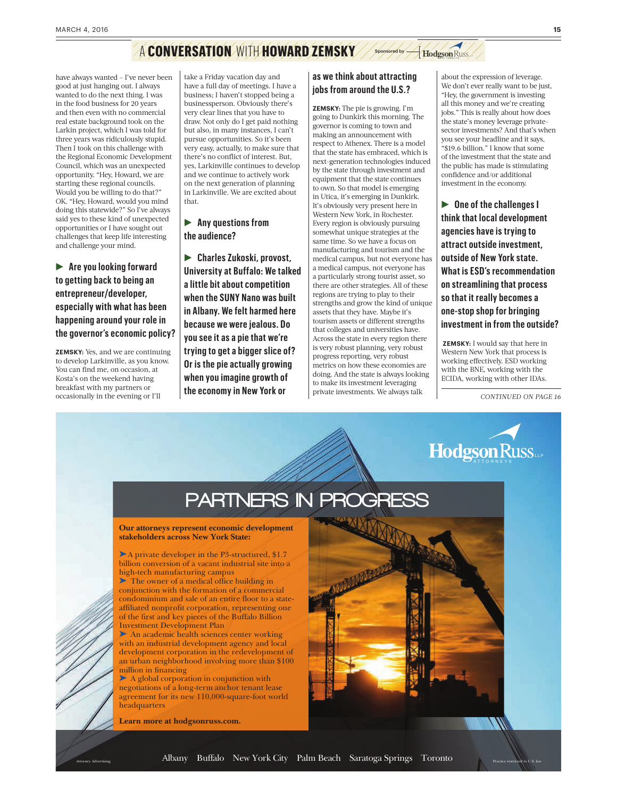## A **CONVERSATION** WITH **HOWARD ZEMSKY** Sponsored by **A** Hodgson Russ

have always wanted – I've never been good at just hanging out. I always wanted to do the next thing. I was in the food business for 20 years and then even with no commercial real estate background took on the Larkin project, which I was told for three years was ridiculously stupid. Then I took on this challenge with the Regional Economic Development Council, which was an unexpected opportunity. "Hey, Howard, we are starting these regional councils. Would you be willing to do that?" OK. "Hey, Howard, would you mind doing this statewide?" So I've always said yes to these kind of unexpected opportunities or I have sought out challenges that keep life interesting and challenge your mind.

**Are you looking forward to getting back to being an entrepreneur/developer, especially with what has been happening around your role in the governor's economic policy?**

**ZEMSKY:** Yes, and we are continuing to develop Larkinville, as you know. You can find me, on occasion, at Kosta's on the weekend having breakfast with my partners or occasionally in the evening or I'll

take a Friday vacation day and have a full day of meetings. I have a business; I haven't stopped being a businessperson. Obviously there's very clear lines that you have to draw. Not only do I get paid nothing but also, in many instances, I can't pursue opportunities. So it's been very easy, actually, to make sure that there's no conflict of interest. But, yes, Larkinville continues to develop and we continue to actively work on the next generation of planning in Larkinville. We are excited about that.

### **Any questions from the audience?**

R **Charles Zukoski, provost, University at Buffalo: We talked a little bit about competition when the SUNY Nano was built in Albany. We felt harmed here because we were jealous. Do you see it as a pie that we're trying to get a bigger slice of? Or is the pie actually growing when you imagine growth of the economy in New York or** 

#### **as we think about attracting jobs from around the U.S.?**

**ZEMSKY:** The pie is growing. I'm going to Dunkirk this morning. The governor is coming to town and making an announcement with respect to Athenex. There is a model that the state has embraced, which is next-generation technologies induced by the state through investment and equipment that the state continues to own. So that model is emerging in Utica, it's emerging in Dunkirk. It's obviously very present here in Western New York, in Rochester. Every region is obviously pursuing somewhat unique strategies at the same time. So we have a focus on manufacturing and tourism and the medical campus, but not everyone has a medical campus, not everyone has a particularly strong tourist asset, so there are other strategies. All of these regions are trying to play to their strengths and grow the kind of unique assets that they have. Maybe it's tourism assets or different strengths that colleges and universities have. Across the state in every region there is very robust planning, very robust progress reporting, very robust metrics on how these economies are doing. And the state is always looking to make its investment leveraging private investments. We always talk

about the expression of leverage. We don't ever really want to be just, "Hey, the government is investing all this money and we're creating jobs." This is really about how does the state's money leverage privatesector investments? And that's when you see your headline and it says, "\$19.6 billion." I know that some of the investment that the state and the public has made is stimulating confidence and/or additional investment in the economy.

▶ One of the challenges I **think that local development agencies have is trying to attract outside investment, outside of New York state. What is ESD's recommendation on streamlining that process so that it really becomes a one-stop shop for bringing investment in from the outside?**

 **ZEMSKY:** I would say that here in Western New York that process is working effectively. ESD working with the BNE, working with the ECIDA, working with other IDAs.

*CONTINUED ON PAGE 16*